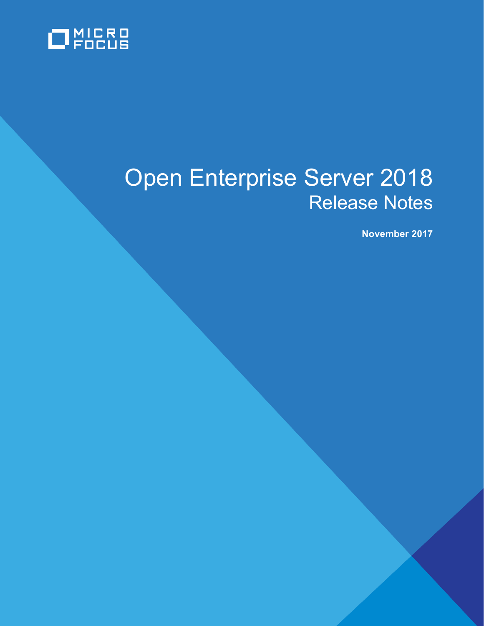

# Open Enterprise Server 2018 Release Notes

**November 2017**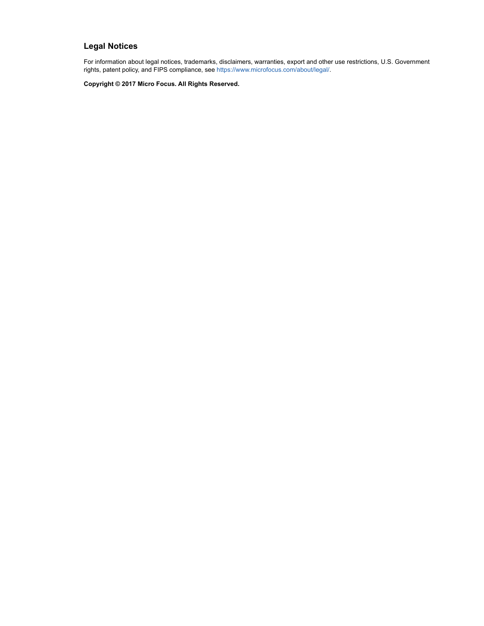#### **Legal Notices**

For information about legal notices, trademarks, disclaimers, warranties, export and other use restrictions, U.S. Government rights, patent policy, and FIPS compliance, see [https://www.microfocus.com/about/legal/.](https://www.microfocus.com/about/legal/)

**Copyright © 2017 Micro Focus. All Rights Reserved.**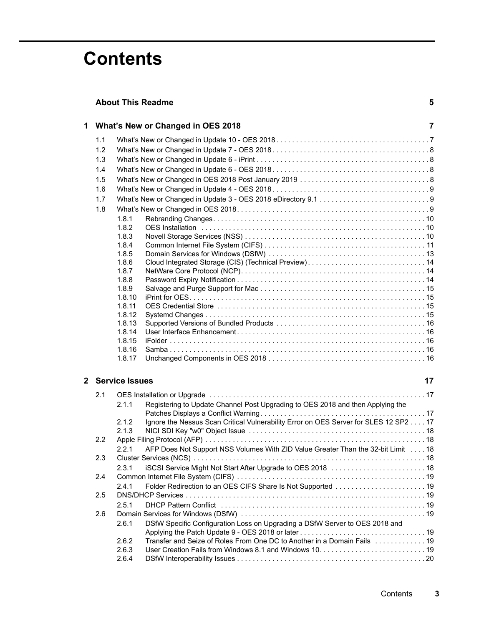# **Contents**

|                                     | <b>About This Readme</b>                                                                      |  |  |  |  |
|-------------------------------------|-----------------------------------------------------------------------------------------------|--|--|--|--|
| 1 What's New or Changed in OES 2018 |                                                                                               |  |  |  |  |
| 1.1                                 |                                                                                               |  |  |  |  |
| 1.2                                 |                                                                                               |  |  |  |  |
| 1.3                                 |                                                                                               |  |  |  |  |
| 1.4                                 |                                                                                               |  |  |  |  |
| 1.5                                 |                                                                                               |  |  |  |  |
| 1.6                                 |                                                                                               |  |  |  |  |
| 1.7                                 |                                                                                               |  |  |  |  |
| 1.8                                 |                                                                                               |  |  |  |  |
|                                     | 1.8.1                                                                                         |  |  |  |  |
|                                     | 1.8.2                                                                                         |  |  |  |  |
|                                     | 1.8.3                                                                                         |  |  |  |  |
|                                     | 1.8.4                                                                                         |  |  |  |  |
|                                     | 1.8.5                                                                                         |  |  |  |  |
|                                     | 1.8.6<br>Cloud Integrated Storage (CIS) (Technical Preview) 14                                |  |  |  |  |
|                                     | 1.8.7                                                                                         |  |  |  |  |
|                                     | 1.8.8                                                                                         |  |  |  |  |
|                                     | 1.8.9                                                                                         |  |  |  |  |
|                                     | 1.8.10                                                                                        |  |  |  |  |
|                                     | 1.8.11                                                                                        |  |  |  |  |
|                                     | 1.8.12                                                                                        |  |  |  |  |
|                                     | 1.8.13<br>1.8.14                                                                              |  |  |  |  |
|                                     | 1.8.15                                                                                        |  |  |  |  |
|                                     | 1.8.16                                                                                        |  |  |  |  |
|                                     | 1.8.17                                                                                        |  |  |  |  |
|                                     | 2 Service Issues<br>17                                                                        |  |  |  |  |
|                                     |                                                                                               |  |  |  |  |
| 2.1                                 |                                                                                               |  |  |  |  |
|                                     | 2.1.1<br>Registering to Update Channel Post Upgrading to OES 2018 and then Applying the       |  |  |  |  |
|                                     | Ignore the Nessus Scan Critical Vulnerability Error on OES Server for SLES 12 SP2 17<br>2.1.2 |  |  |  |  |
|                                     | 2.1.3                                                                                         |  |  |  |  |
| 2.2                                 |                                                                                               |  |  |  |  |
|                                     | AFP Does Not Support NSS Volumes With ZID Value Greater Than the 32-bit Limit 18<br>2.2.1     |  |  |  |  |
| 2.3                                 |                                                                                               |  |  |  |  |
|                                     | iSCSI Service Might Not Start After Upgrade to OES 2018  18<br>2.3.1                          |  |  |  |  |
| 2.4                                 |                                                                                               |  |  |  |  |
|                                     | 2.4.1                                                                                         |  |  |  |  |
| 2.5                                 |                                                                                               |  |  |  |  |
|                                     | 2.5.1                                                                                         |  |  |  |  |
| 2.6                                 |                                                                                               |  |  |  |  |
|                                     | DSfW Specific Configuration Loss on Upgrading a DSfW Server to OES 2018 and<br>2.6.1          |  |  |  |  |
|                                     |                                                                                               |  |  |  |  |
|                                     | Transfer and Seize of Roles From One DC to Another in a Domain Fails  19<br>2.6.2             |  |  |  |  |
|                                     | 2.6.3                                                                                         |  |  |  |  |
|                                     | 2.6.4                                                                                         |  |  |  |  |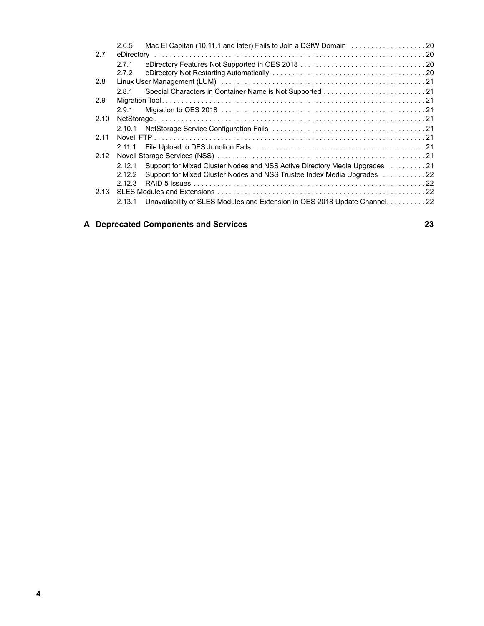|      | 2.6.5   | Mac El Capitan (10.11.1 and later) Fails to Join a DSfW Domain 20           |  |
|------|---------|-----------------------------------------------------------------------------|--|
| 2.7  |         |                                                                             |  |
|      | 2.7.1   |                                                                             |  |
|      | 2.7.2   |                                                                             |  |
| 2.8  |         |                                                                             |  |
|      | 2.8.1   |                                                                             |  |
| 2.9  |         |                                                                             |  |
|      | 2.9.1   |                                                                             |  |
| 2.10 |         |                                                                             |  |
|      |         |                                                                             |  |
| 2.11 |         |                                                                             |  |
|      | 2.11.1  |                                                                             |  |
| 2.12 |         |                                                                             |  |
|      | 2.12.1  | Support for Mixed Cluster Nodes and NSS Active Directory Media Upgrades 21  |  |
|      | 2.12.2  | Support for Mixed Cluster Nodes and NSS Trustee Index Media Upgrades 22     |  |
|      | 2 1 2 3 |                                                                             |  |
|      |         |                                                                             |  |
|      | 2.13.1  | Unavailability of SLES Modules and Extension in OES 2018 Update Channel. 22 |  |
|      |         |                                                                             |  |

### **[A Deprecated Components and Services 23](#page-22-0)**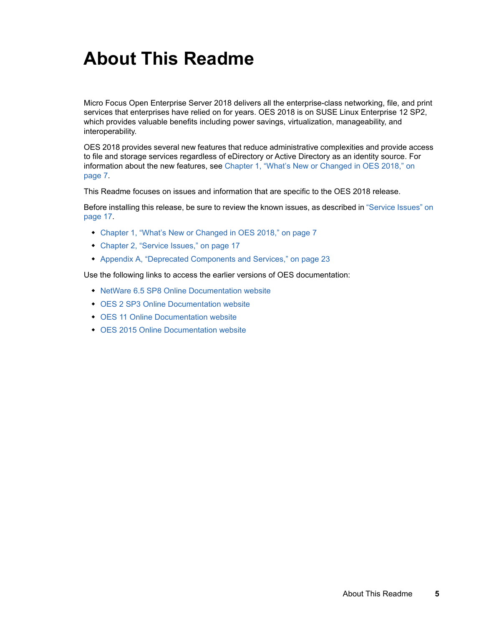# <span id="page-4-0"></span>**About This Readme**

Micro Focus Open Enterprise Server 2018 delivers all the enterprise-class networking, file, and print services that enterprises have relied on for years. OES 2018 is on SUSE Linux Enterprise 12 SP2, which provides valuable benefits including power savings, virtualization, manageability, and interoperability.

OES 2018 provides several new features that reduce administrative complexities and provide access to file and storage services regardless of eDirectory or Active Directory as an identity source. For information about the new features, see [Chapter 1, "What's New or Changed in OES 2018," on](#page-6-2)  [page 7.](#page-6-2)

This Readme focuses on issues and information that are specific to the OES 2018 release.

Before installing this release, be sure to review the known issues, as described in ["Service Issues" on](#page-16-4)  [page 17](#page-16-4).

- [Chapter 1, "What's New or Changed in OES 2018," on page 7](#page-6-2)
- [Chapter 2, "Service Issues," on page 17](#page-16-4)
- [Appendix A, "Deprecated Components and Services," on page 23](#page-22-1)

Use the following links to access the earlier versions of OES documentation:

- [NetWare 6.5 SP8 Online Documentation website](http://www.novell.com/documentation/nw65)
- [OES 2 SP3 Online Documentation website](http://www.novell.com/documentation/oes2/)
- [OES 11 Online Documentation website](http://www.novell.com/documentation/oes11)
- [OES 2015 Online Documentation website](http://www.novell.com/documentation/oes2015)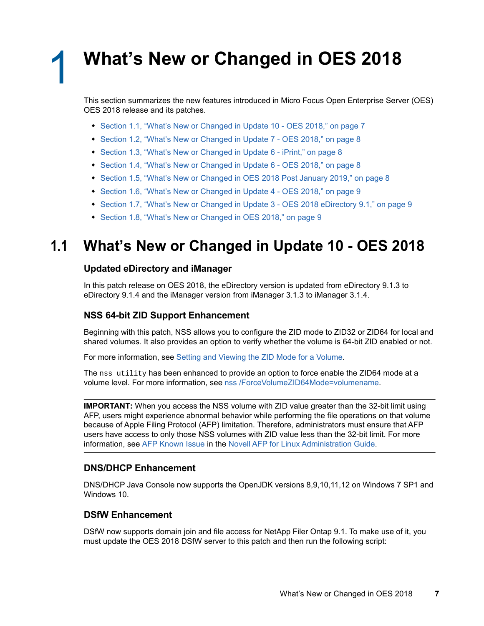<span id="page-6-2"></span><span id="page-6-0"></span><sup>1</sup>**What's New or Changed in OES 2018**

This section summarizes the new features introduced in Micro Focus Open Enterprise Server (OES) OES 2018 release and its patches.

- [Section 1.1, "What's New or Changed in Update 10 OES 2018," on page 7](#page-6-1)
- ◆ [Section 1.2, "What's New or Changed in Update 7 OES 2018," on page 8](#page-7-0)
- [Section 1.3, "What's New or Changed in Update 6 iPrint," on page 8](#page-7-1)
- [Section 1.4, "What's New or Changed in Update 6 OES 2018," on page 8](#page-7-2)
- [Section 1.5, "What's New or Changed in OES 2018 Post January 2019," on page 8](#page-7-3)
- [Section 1.6, "What's New or Changed in Update 4 OES 2018," on page 9](#page-8-0)
- [Section 1.7, "What's New or Changed in Update 3 OES 2018 eDirectory 9.1," on page 9](#page-8-1)
- [Section 1.8, "What's New or Changed in OES 2018," on page 9](#page-8-2)

# <span id="page-6-1"></span>**1.1 What's New or Changed in Update 10 - OES 2018**

#### **Updated eDirectory and iManager**

1

In this patch release on OES 2018, the eDirectory version is updated from eDirectory 9.1.3 to eDirectory 9.1.4 and the iManager version from iManager 3.1.3 to iManager 3.1.4.

#### **NSS 64-bit ZID Support Enhancement**

Beginning with this patch, NSS allows you to configure the ZID mode to ZID32 or ZID64 for local and shared volumes. It also provides an option to verify whether the volume is 64-bit ZID enabled or not.

For more information, see [Setting and Viewing the ZID Mode for a Volume.](https://www.novell.com/documentation/open-enterprise-server-2018/stor_nss_lx/data/t49x2kzfpyk7.html)

The nss utility has been enhanced to provide an option to force enable the ZID64 mode at a volume level. For more information, see [nss /ForceVolumeZID64Mode=volumename.](https://www.novell.com/documentation/open-enterprise-server-2018/stor_nss_lx/data/bapitww.html#t49z7n8fdnvb)

**IMPORTANT:** When you access the NSS volume with ZID value greater than the 32-bit limit using AFP, users might experience abnormal behavior while performing the file operations on that volume because of Apple Filing Protocol (AFP) limitation. Therefore, administrators must ensure that AFP users have access to only those NSS volumes with ZID value less than the 32-bit limit. For more information, see [AFP Known Issue](https://www.novell.com/documentation/open-enterprise-server-2018/file_afp_lx/data/b16r9aq6.html#t43zk92896y4) in the [Novell AFP for Linux Administration Guide](https://www.novell.com/documentation/open-enterprise-server-2018/file_afp_lx/data/h9izvdye.html#h9izvdye).

#### **DNS/DHCP Enhancement**

DNS/DHCP Java Console now supports the OpenJDK versions 8,9,10,11,12 on Windows 7 SP1 and Windows 10.

#### **DSfW Enhancement**

DSfW now supports domain join and file access for NetApp Filer Ontap 9.1. To make use of it, you must update the OES 2018 DSfW server to this patch and then run the following script: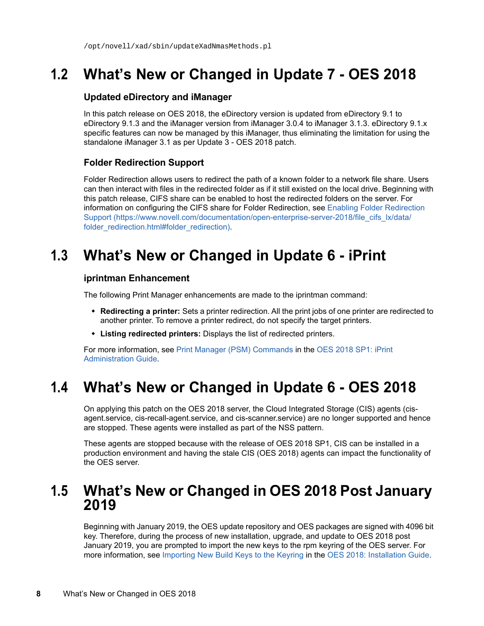# <span id="page-7-0"></span>**1.2 What's New or Changed in Update 7 - OES 2018**

#### **Updated eDirectory and iManager**

In this patch release on OES 2018, the eDirectory version is updated from eDirectory 9.1 to eDirectory 9.1.3 and the iManager version from iManager 3.0.4 to iManager 3.1.3. eDirectory 9.1.x specific features can now be managed by this iManager, thus eliminating the limitation for using the standalone iManager 3.1 as per Update 3 - OES 2018 patch.

### **Folder Redirection Support**

Folder Redirection allows users to redirect the path of a known folder to a network file share. Users can then interact with files in the redirected folder as if it still existed on the local drive. Beginning with this patch release, CIFS share can be enabled to host the redirected folders on the server. For information on configuring the CIFS share for Folder Redirection, see [Enabling Folder Redirection](https://www.novell.com/documentation/open-enterprise-server-2018/file_cifs_lx/data/folder_redirection.html#folder_redirection)  [Support](https://www.novell.com/documentation/open-enterprise-server-2018/file_cifs_lx/data/folder_redirection.html#folder_redirection) (https://www.novell.com/documentation/open-enterprise-server-2018/file\_cifs\_lx/data/ folder\_redirection.html#folder\_redirection).

# <span id="page-7-1"></span>**1.3 What's New or Changed in Update 6 - iPrint**

#### **iprintman Enhancement**

The following Print Manager enhancements are made to the iprintman command:

- **Redirecting a printer:** Sets a printer redirection. All the print jobs of one printer are redirected to another printer. To remove a printer redirect, do not specify the target printers.
- **Listing redirected printers:** Displays the list of redirected printers.

For more information, see [Print Manager \(PSM\) Commands](https://www.novell.com/documentation/open-enterprise-server-2018/iprint_lx/data/b9xw13b.html#b9xwhej) in the [OES 2018 SP1: iPrint](https://www.novell.com/documentation/open-enterprise-server-2018/iprint_lx/data/front.html)  [Administration Guide.](https://www.novell.com/documentation/open-enterprise-server-2018/iprint_lx/data/front.html)

# <span id="page-7-2"></span>**1.4 What's New or Changed in Update 6 - OES 2018**

On applying this patch on the OES 2018 server, the Cloud Integrated Storage (CIS) agents (cisagent.service, cis-recall-agent.service, and cis-scanner.service) are no longer supported and hence are stopped. These agents were installed as part of the NSS pattern.

These agents are stopped because with the release of OES 2018 SP1, CIS can be installed in a production environment and having the stale CIS (OES 2018) agents can impact the functionality of the OES server.

## <span id="page-7-3"></span>**1.5 What's New or Changed in OES 2018 Post January 2019**

Beginning with January 2019, the OES update repository and OES packages are signed with 4096 bit key. Therefore, during the process of new installation, upgrade, and update to OES 2018 post January 2019, you are prompted to import the new keys to the rpm keyring of the OES server. For more information, see [Importing New Build Keys to the Keyring](https://www.novell.com/documentation/open-enterprise-server-2018/pdfdoc/inst_oes_lx/inst_oes_lx.pdf#t48kbvbq2x79) in the [OES 2018: Installation Guide](https://www.novell.com/documentation/open-enterprise-server-2018/pdfdoc/inst_oes_lx/inst_oes_lx.pdf#Front).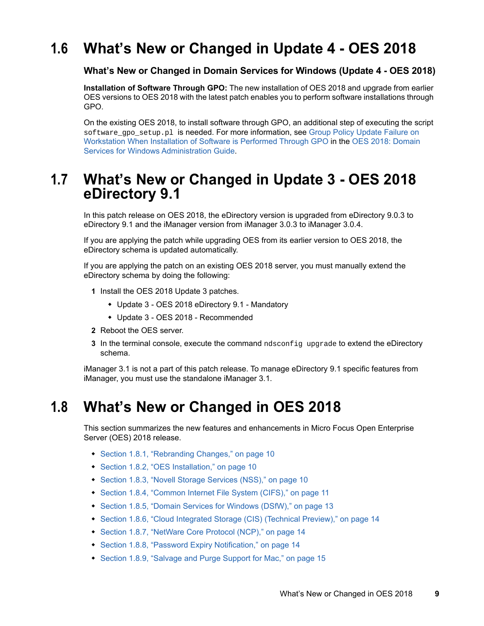# <span id="page-8-0"></span>**1.6 What's New or Changed in Update 4 - OES 2018**

#### **What's New or Changed in Domain Services for Windows (Update 4 - OES 2018)**

**Installation of Software Through GPO:** The new installation of OES 2018 and upgrade from earlier OES versions to OES 2018 with the latest patch enables you to perform software installations through GPO.

On the existing OES 2018, to install software through GPO, an additional step of executing the script software\_gpo\_setup.pl is needed. For more information, see Group Policy Update Failure on [Workstation When Installation of Software is Performed Through GPO](https://www.novell.com/documentation/open-enterprise-server-2018/pdfdoc/acc_dsfw_lx/acc_dsfw_lx.pdf#t46z1e3hzi1z) in the [OES 2018: Domain](https://www.novell.com/documentation/open-enterprise-server-2018/pdfdoc/acc_dsfw_lx/acc_dsfw_lx.pdf#bookinfo)  [Services for Windows Administration Guide](https://www.novell.com/documentation/open-enterprise-server-2018/pdfdoc/acc_dsfw_lx/acc_dsfw_lx.pdf#bookinfo).

# <span id="page-8-1"></span>**1.7 What's New or Changed in Update 3 - OES 2018 eDirectory 9.1**

In this patch release on OES 2018, the eDirectory version is upgraded from eDirectory 9.0.3 to eDirectory 9.1 and the iManager version from iManager 3.0.3 to iManager 3.0.4.

If you are applying the patch while upgrading OES from its earlier version to OES 2018, the eDirectory schema is updated automatically.

If you are applying the patch on an existing OES 2018 server, you must manually extend the eDirectory schema by doing the following:

- **1** Install the OES 2018 Update 3 patches.
	- Update 3 OES 2018 eDirectory 9.1 Mandatory
	- Update 3 OES 2018 Recommended
- **2** Reboot the OES server.
- **3** In the terminal console, execute the command ndsconfig upgrade to extend the eDirectory schema.

iManager 3.1 is not a part of this patch release. To manage eDirectory 9.1 specific features from iManager, you must use the standalone iManager 3.1.

## <span id="page-8-2"></span>**1.8 What's New or Changed in OES 2018**

This section summarizes the new features and enhancements in Micro Focus Open Enterprise Server (OES) 2018 release.

- [Section 1.8.1, "Rebranding Changes," on page 10](#page-9-0)
- [Section 1.8.2, "OES Installation," on page 10](#page-9-1)
- ◆ [Section 1.8.3, "Novell Storage Services \(NSS\)," on page 10](#page-9-2)
- [Section 1.8.4, "Common Internet File System \(CIFS\)," on page 11](#page-10-0)
- [Section 1.8.5, "Domain Services for Windows \(DSfW\)," on page 13](#page-12-0)
- [Section 1.8.6, "Cloud Integrated Storage \(CIS\) \(Technical Preview\)," on page 14](#page-13-0)
- [Section 1.8.7, "NetWare Core Protocol \(NCP\)," on page 14](#page-13-1)
- [Section 1.8.8, "Password Expiry Notification," on page 14](#page-13-2)
- [Section 1.8.9, "Salvage and Purge Support for Mac," on page 15](#page-14-0)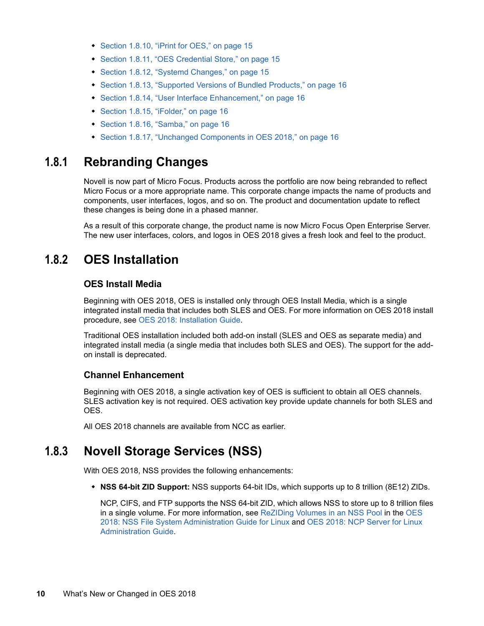- [Section 1.8.10, "iPrint for OES," on page 15](#page-14-1)
- [Section 1.8.11, "OES Credential Store," on page 15](#page-14-2)
- ◆ [Section 1.8.12, "Systemd Changes," on page 15](#page-14-3)
- [Section 1.8.13, "Supported Versions of Bundled Products," on page 16](#page-15-0)
- [Section 1.8.14, "User Interface Enhancement," on page 16](#page-15-1)
- ◆ [Section 1.8.15, "iFolder," on page 16](#page-15-2)
- ◆ [Section 1.8.16, "Samba," on page 16](#page-15-3)
- ◆ [Section 1.8.17, "Unchanged Components in OES 2018," on page 16](#page-15-4)

### <span id="page-9-0"></span>**1.8.1 Rebranding Changes**

Novell is now part of Micro Focus. Products across the portfolio are now being rebranded to reflect Micro Focus or a more appropriate name. This corporate change impacts the name of products and components, user interfaces, logos, and so on. The product and documentation update to reflect these changes is being done in a phased manner.

As a result of this corporate change, the product name is now Micro Focus Open Enterprise Server. The new user interfaces, colors, and logos in OES 2018 gives a fresh look and feel to the product.

### <span id="page-9-1"></span>**1.8.2 OES Installation**

#### **OES Install Media**

Beginning with OES 2018, OES is installed only through OES Install Media, which is a single integrated install media that includes both SLES and OES. For more information on OES 2018 install procedure, see [OES 2018: Installation Guide](https://www.novell.com/documentation/open-enterprise-server-2018/pdfdoc/inst_oes_lx/inst_oes_lx.pdf#Front).

Traditional OES installation included both add-on install (SLES and OES as separate media) and integrated install media (a single media that includes both SLES and OES). The support for the addon install is deprecated.

### **Channel Enhancement**

Beginning with OES 2018, a single activation key of OES is sufficient to obtain all OES channels. SLES activation key is not required. OES activation key provide update channels for both SLES and OES.

All OES 2018 channels are available from NCC as earlier.

### <span id="page-9-2"></span>**1.8.3 Novell Storage Services (NSS)**

With OES 2018, NSS provides the following enhancements:

**NSS 64-bit ZID Support:** NSS supports 64-bit IDs, which supports up to 8 trillion (8E12) ZIDs.

NCP, CIFS, and FTP supports the NSS 64-bit ZID, which allows NSS to store up to 8 trillion files in a single volume. For more information, see [ReZIDing Volumes in an NSS Pool](https://www.novell.com/documentation/open-enterprise-server-2018/pdfdoc/stor_nss_lx/stor_nss_lx.pdf#bxkj860) in the [OES](https://www.novell.com/documentation/open-enterprise-server-2018/pdfdoc/stor_nss_lx/stor_nss_lx.pdf#Front)  [2018: NSS File System Administration Guide for Linux](https://www.novell.com/documentation/open-enterprise-server-2018/pdfdoc/stor_nss_lx/stor_nss_lx.pdf#Front) and [OES 2018: NCP Server for Linux](https://www.novell.com/documentation/open-enterprise-server-2018/pdfdoc/file_ncp_lx/file_ncp_lx.pdf#H9izvdye)  [Administration Guide.](https://www.novell.com/documentation/open-enterprise-server-2018/pdfdoc/file_ncp_lx/file_ncp_lx.pdf#H9izvdye)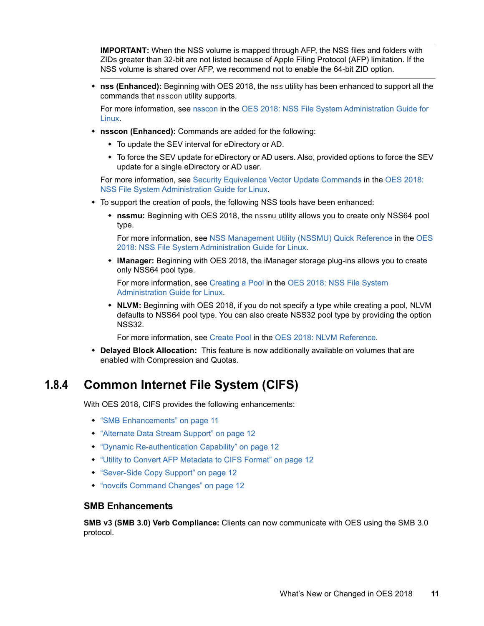**IMPORTANT:** When the NSS volume is mapped through AFP, the NSS files and folders with ZIDs greater than 32-bit are not listed because of Apple Filing Protocol (AFP) limitation. If the NSS volume is shared over AFP, we recommend not to enable the 64-bit ZID option.

 **nss (Enhanced):** Beginning with OES 2018, the nss utility has been enhanced to support all the commands that nsscon utility supports.

For more information, see [nsscon](https://www.novell.com/documentation/open-enterprise-server-2018/pdfdoc/stor_nss_lx/stor_nss_lx.pdf#nsscon) in the [OES 2018: NSS File System Administration Guide for](https://www.novell.com/documentation/open-enterprise-server-2018/pdfdoc/stor_nss_lx/stor_nss_lx.pdf#Front)  [Linux.](https://www.novell.com/documentation/open-enterprise-server-2018/pdfdoc/stor_nss_lx/stor_nss_lx.pdf#Front)

- **nsscon (Enhanced):** Commands are added for the following:
	- To update the SEV interval for eDirectory or AD.
	- To force the SEV update for eDirectory or AD users. Also, provided options to force the SEV update for a single eDirectory or AD user.

For more information, see [Security Equivalence Vector Update Commands](https://www.novell.com/documentation/open-enterprise-server-2018/pdfdoc/stor_nss_lx/stor_nss_lx.pdf#bv3k385) in the [OES 2018:](https://www.novell.com/documentation/open-enterprise-server-2018/pdfdoc/stor_nss_lx/stor_nss_lx.pdf#Front)  [NSS File System Administration Guide for Linux.](https://www.novell.com/documentation/open-enterprise-server-2018/pdfdoc/stor_nss_lx/stor_nss_lx.pdf#Front)

- $\bullet$  To support the creation of pools, the following NSS tools have been enhanced:
	- **nssmu:** Beginning with OES 2018, the nssmu utility allows you to create only NSS64 pool type.

For more information, see [NSS Management Utility \(NSSMU\) Quick Reference](https://www.novell.com/documentation/open-enterprise-server-2018/pdfdoc/stor_nss_lx/stor_nss_lx.pdf#boswzl1) in the [OES](https://www.novell.com/documentation/open-enterprise-server-2018/pdfdoc/stor_nss_lx/stor_nss_lx.pdf#Front)  [2018: NSS File System Administration Guide for Linux](https://www.novell.com/documentation/open-enterprise-server-2018/pdfdoc/stor_nss_lx/stor_nss_lx.pdf#Front).

 **iManager:** Beginning with OES 2018, the iManager storage plug-ins allows you to create only NSS64 pool type.

For more information, see [Creating a Pool](https://www.novell.com/documentation/open-enterprise-server-2018/pdfdoc/stor_nss_lx/stor_nss_lx.pdf#bqpd9rv) in the [OES 2018: NSS File System](https://www.novell.com/documentation/open-enterprise-server-2018/pdfdoc/stor_nss_lx/stor_nss_lx.pdf#Front)  [Administration Guide for Linux.](https://www.novell.com/documentation/open-enterprise-server-2018/pdfdoc/stor_nss_lx/stor_nss_lx.pdf#Front)

 **NLVM:** Beginning with OES 2018, if you do not specify a type while creating a pool, NLVM defaults to NSS64 pool type. You can also create NSS32 pool type by providing the option NSS32.

For more information, see [Create Pool](https://www.novell.com/documentation/open-enterprise-server-2018/pdfdoc/stor_nlvm_lx/stor_nlvm_lx.pdf#createpool) in the [OES 2018: NLVM Reference.](https://www.novell.com/documentation/open-enterprise-server-2018/pdfdoc/stor_nlvm_lx/stor_nlvm_lx.pdf#bookinfo)

 **Delayed Block Allocation:** This feature is now additionally available on volumes that are enabled with Compression and Quotas.

### <span id="page-10-0"></span>**1.8.4 Common Internet File System (CIFS)**

With OES 2018, CIFS provides the following enhancements:

- ["SMB Enhancements" on page 11](#page-10-1)
- ["Alternate Data Stream Support" on page 12](#page-11-0)
- ["Dynamic Re-authentication Capability" on page 12](#page-11-1)
- ["Utility to Convert AFP Metadata to CIFS Format" on page 12](#page-11-2)
- ["Sever-Side Copy Support" on page 12](#page-11-3)
- ["novcifs Command Changes" on page 12](#page-11-4)

#### <span id="page-10-1"></span>**SMB Enhancements**

**SMB v3 (SMB 3.0) Verb Compliance:** Clients can now communicate with OES using the SMB 3.0 protocol.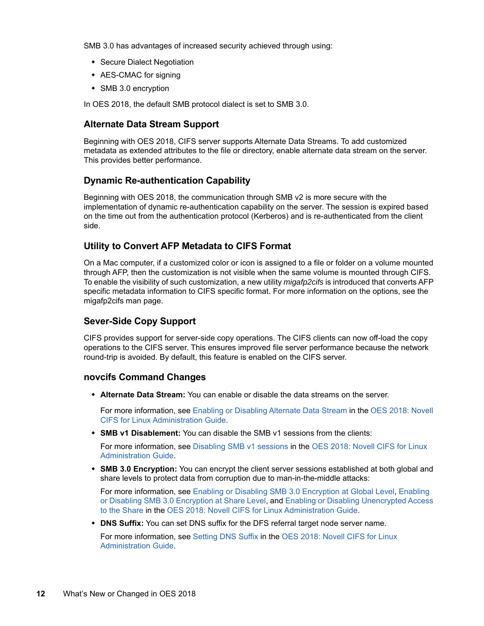SMB 3.0 has advantages of increased security achieved through using:

- **Secure Dialect Negotiation**
- AES-CMAC for signing
- SMB 3.0 encryption

In OES 2018, the default SMB protocol dialect is set to SMB 3.0.

#### <span id="page-11-0"></span>**Alternate Data Stream Support**

Beginning with OES 2018, CIFS server supports Alternate Data Streams. To add customized metadata as extended attributes to the file or directory, enable alternate data stream on the server. This provides better performance.

#### <span id="page-11-1"></span>**Dynamic Re-authentication Capability**

Beginning with OES 2018, the communication through SMB v2 is more secure with the implementation of dynamic re-authentication capability on the server. The session is expired based on the time out from the authentication protocol (Kerberos) and is re-authenticated from the client side.

#### <span id="page-11-2"></span>**Utility to Convert AFP Metadata to CIFS Format**

On a Mac computer, if a customized color or icon is assigned to a file or folder on a volume mounted through AFP, then the customization is not visible when the same volume is mounted through CIFS. To enable the visibility of such customization, a new utility *migafp2cifs* is introduced that converts AFP specific metadata information to CIFS specific format. For more information on the options, see the migafp2cifs man page.

#### <span id="page-11-3"></span>**Sever-Side Copy Support**

CIFS provides support for server-side copy operations. The CIFS clients can now off-load the copy operations to the CIFS server. This ensures improved file server performance because the network round-trip is avoided. By default, this feature is enabled on the CIFS server.

#### <span id="page-11-4"></span>**novcifs Command Changes**

**Alternate Data Stream:** You can enable or disable the data streams on the server.

For more information, see [Enabling or Disabling Alternate Data Stream](https://www.novell.com/documentation/open-enterprise-server-2018/pdfdoc/file_cifs_lx/file_cifs_lx.pdf#t42kcze4gg0n) in the [OES 2018: Novell](https://www.novell.com/documentation/open-enterprise-server-2018/pdfdoc/file_cifs_lx/file_cifs_lx.pdf#front)  [CIFS for Linux Administration Guide.](https://www.novell.com/documentation/open-enterprise-server-2018/pdfdoc/file_cifs_lx/file_cifs_lx.pdf#front)

**SMB v1 Disablement:** You can disable the SMB v1 sessions from the clients:

For more information, see [Disabling SMB v1 sessions](https://www.novell.com/documentation/open-enterprise-server-2018/pdfdoc/file_cifs_lx/file_cifs_lx.pdf#t42kcze4gnqf) in the [OES 2018: Novell CIFS for Linux](https://www.novell.com/documentation/open-enterprise-server-2018/pdfdoc/file_cifs_lx/file_cifs_lx.pdf#front)  [Administration Guide.](https://www.novell.com/documentation/open-enterprise-server-2018/pdfdoc/file_cifs_lx/file_cifs_lx.pdf#front)

 **SMB 3.0 Encryption:** You can encrypt the client server sessions established at both global and share levels to protect data from corruption due to man-in-the-middle attacks:

For more information, see [Enabling or Disabling SMB 3.0 Encryption at Global Level](https://www.novell.com/documentation/open-enterprise-server-2018/pdfdoc/file_cifs_lx/file_cifs_lx.pdf#t42kcze4gvg7), [Enabling](https://www.novell.com/documentation/open-enterprise-server-2018/pdfdoc/file_cifs_lx/file_cifs_lx.pdf#t42kcze4h35z)  [or Disabling SMB 3.0 Encryption at Share Level](https://www.novell.com/documentation/open-enterprise-server-2018/pdfdoc/file_cifs_lx/file_cifs_lx.pdf#t42kcze4h35z), and [Enabling or Disabling Unencrypted Access](https://www.novell.com/documentation/open-enterprise-server-2018/pdfdoc/file_cifs_lx/file_cifs_lx.pdf#t42kcze4havr)  [to the Share](https://www.novell.com/documentation/open-enterprise-server-2018/pdfdoc/file_cifs_lx/file_cifs_lx.pdf#t42kcze4havr) in the [OES 2018: Novell CIFS for Linux Administration Guide.](https://www.novell.com/documentation/open-enterprise-server-2018/pdfdoc/file_cifs_lx/file_cifs_lx.pdf#front)

**DNS Suffix:** You can set DNS suffix for the DFS referral target node server name.

For more information, see [Setting DNS Suffix](https://www.novell.com/documentation/open-enterprise-server-2018/pdfdoc/file_cifs_lx/file_cifs_lx.pdf#t42kd3pye6ad) in the [OES 2018: Novell CIFS for Linux](https://www.novell.com/documentation/open-enterprise-server-2018/pdfdoc/file_cifs_lx/file_cifs_lx.pdf#front)  [Administration Guide.](https://www.novell.com/documentation/open-enterprise-server-2018/pdfdoc/file_cifs_lx/file_cifs_lx.pdf#front)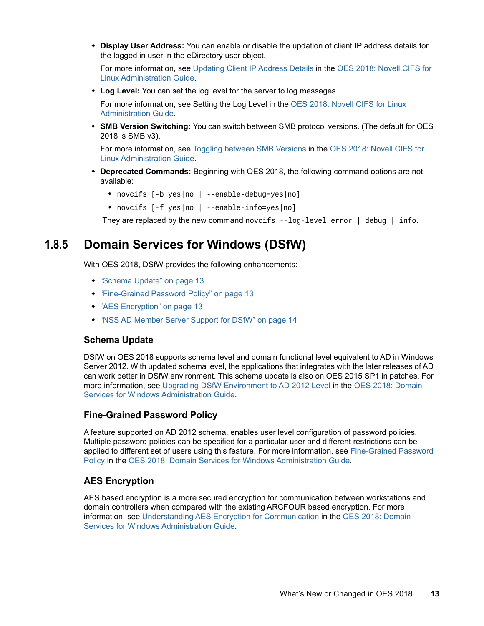**Display User Address:** You can enable or disable the updation of client IP address details for the logged in user in the eDirectory user object.

For more information, see [Updating Client IP Address Details](https://www.novell.com/documentation/open-enterprise-server-2018/pdfdoc/file_cifs_lx/file_cifs_lx.pdf#t441ee1x4rei) in the [OES 2018: Novell CIFS for](https://www.novell.com/documentation/open-enterprise-server-2018/pdfdoc/file_cifs_lx/file_cifs_lx.pdf#front)  [Linux Administration Guide.](https://www.novell.com/documentation/open-enterprise-server-2018/pdfdoc/file_cifs_lx/file_cifs_lx.pdf#front)

**Log Level:** You can set the log level for the server to log messages.

For more information, see Setting the Log Level in the [OES 2018: Novell CIFS for Linux](https://www.novell.com/documentation/open-enterprise-server-2018/pdfdoc/file_cifs_lx/file_cifs_lx.pdf#front)  [Administration Guide.](https://www.novell.com/documentation/open-enterprise-server-2018/pdfdoc/file_cifs_lx/file_cifs_lx.pdf#front)

 **SMB Version Switching:** You can switch between SMB protocol versions. (The default for OES 2018 is SMB v3).

For more information, see [Toggling between SMB Versions](https://www.novell.com/documentation/open-enterprise-server-2018/pdfdoc/file_cifs_lx/file_cifs_lx.pdf#b1c9xec8) in the [OES 2018: Novell CIFS for](https://www.novell.com/documentation/open-enterprise-server-2018/pdfdoc/file_cifs_lx/file_cifs_lx.pdf#front)  [Linux Administration Guide.](https://www.novell.com/documentation/open-enterprise-server-2018/pdfdoc/file_cifs_lx/file_cifs_lx.pdf#front)

- **Deprecated Commands:** Beginning with OES 2018, the following command options are not available:
	- novcifs [-b yes|no | --enable-debug=yes|no]
	- novcifs [-f yes|no | --enable-info=yes|no]

They are replaced by the new command novcifs  $-$ log-level error | debug | info.

### <span id="page-12-0"></span>**1.8.5 Domain Services for Windows (DSfW)**

With OES 2018, DSfW provides the following enhancements:

- ["Schema Update" on page 13](#page-12-1)
- ["Fine-Grained Password Policy" on page 13](#page-12-2)
- ["AES Encryption" on page 13](#page-12-3)
- ["NSS AD Member Server Support for DSfW" on page 14](#page-13-3)

#### <span id="page-12-1"></span>**Schema Update**

DSfW on OES 2018 supports schema level and domain functional level equivalent to AD in Windows Server 2012. With updated schema level, the applications that integrates with the later releases of AD can work better in DSfW environment. This schema update is also on OES 2015 SP1 in patches. For more information, see [Upgrading DSfW Environment to AD 2012 Level i](https://www.novell.com/documentation/open-enterprise-server-2018/pdfdoc/acc_dsfw_lx/acc_dsfw_lx.pdf#t42ly6z4rqc7)n the [OES 2018: Domain](https://www.novell.com/documentation/open-enterprise-server-2018/pdfdoc/acc_dsfw_lx/acc_dsfw_lx.pdf#bookinfo)  [Services for Windows Administration Guide](https://www.novell.com/documentation/open-enterprise-server-2018/pdfdoc/acc_dsfw_lx/acc_dsfw_lx.pdf#bookinfo).

#### <span id="page-12-2"></span>**Fine-Grained Password Policy**

A feature supported on AD 2012 schema, enables user level configuration of password policies. Multiple password policies can be specified for a particular user and different restrictions can be applied to different set of users using this feature. For more information, see [Fine-Grained Password](https://www.novell.com/documentation/open-enterprise-server-2018/pdfdoc/acc_dsfw_lx/acc_dsfw_lx.pdf#t42mizc08hyr)  [Policy](https://www.novell.com/documentation/open-enterprise-server-2018/pdfdoc/acc_dsfw_lx/acc_dsfw_lx.pdf#t42mizc08hyr) in the [OES 2018: Domain Services for Windows Administration Guide.](https://www.novell.com/documentation/open-enterprise-server-2018/pdfdoc/acc_dsfw_lx/acc_dsfw_lx.pdf#bookinfo)

### <span id="page-12-3"></span>**AES Encryption**

AES based encryption is a more secured encryption for communication between workstations and domain controllers when compared with the existing ARCFOUR based encryption. For more information, see [Understanding AES Encryption for Communication](https://www.novell.com/documentation/open-enterprise-server-2018/pdfdoc/acc_dsfw_lx/acc_dsfw_lx.pdf#t43wtas2p9i3) in the [OES 2018: Domain](https://www.novell.com/documentation/open-enterprise-server-2018/pdfdoc/acc_dsfw_lx/acc_dsfw_lx.pdf#bookinfo)  [Services for Windows Administration Guide](https://www.novell.com/documentation/open-enterprise-server-2018/pdfdoc/acc_dsfw_lx/acc_dsfw_lx.pdf#bookinfo).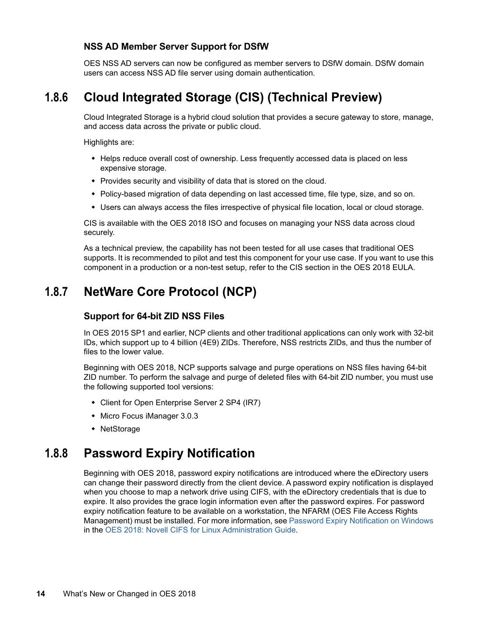#### <span id="page-13-3"></span>**NSS AD Member Server Support for DSfW**

OES NSS AD servers can now be configured as member servers to DSfW domain. DSfW domain users can access NSS AD file server using domain authentication.

### <span id="page-13-0"></span>**1.8.6 Cloud Integrated Storage (CIS) (Technical Preview)**

Cloud Integrated Storage is a hybrid cloud solution that provides a secure gateway to store, manage, and access data across the private or public cloud.

Highlights are:

- Helps reduce overall cost of ownership. Less frequently accessed data is placed on less expensive storage.
- Provides security and visibility of data that is stored on the cloud.
- Policy-based migration of data depending on last accessed time, file type, size, and so on.
- Users can always access the files irrespective of physical file location, local or cloud storage.

CIS is available with the OES 2018 ISO and focuses on managing your NSS data across cloud securely.

As a technical preview, the capability has not been tested for all use cases that traditional OES supports. It is recommended to pilot and test this component for your use case. If you want to use this component in a production or a non-test setup, refer to the CIS section in the OES 2018 EULA.

### <span id="page-13-1"></span>**1.8.7 NetWare Core Protocol (NCP)**

#### **Support for 64-bit ZID NSS Files**

In OES 2015 SP1 and earlier, NCP clients and other traditional applications can only work with 32-bit IDs, which support up to 4 billion (4E9) ZIDs. Therefore, NSS restricts ZIDs, and thus the number of files to the lower value.

Beginning with OES 2018, NCP supports salvage and purge operations on NSS files having 64-bit ZID number. To perform the salvage and purge of deleted files with 64-bit ZID number, you must use the following supported tool versions:

- Client for Open Enterprise Server 2 SP4 (IR7)
- Micro Focus iManager 3.0.3
- NetStorage

### <span id="page-13-2"></span>**1.8.8 Password Expiry Notification**

Beginning with OES 2018, password expiry notifications are introduced where the eDirectory users can change their password directly from the client device. A password expiry notification is displayed when you choose to map a network drive using CIFS, with the eDirectory credentials that is due to expire. It also provides the grace login information even after the password expires. For password expiry notification feature to be available on a workstation, the NFARM (OES File Access Rights Management) must be installed. For more information, see [Password Expiry Notification on Windows](https://www.novell.com/documentation/open-enterprise-server-2018/pdfdoc/file_cifs_lx/file_cifs_lx.pdf#t468q5p8vvqo) in the [OES 2018: Novell CIFS for Linux Administration Guide](https://www.novell.com/documentation/open-enterprise-server-2018/pdfdoc/file_cifs_lx/file_cifs_lx.pdf#front).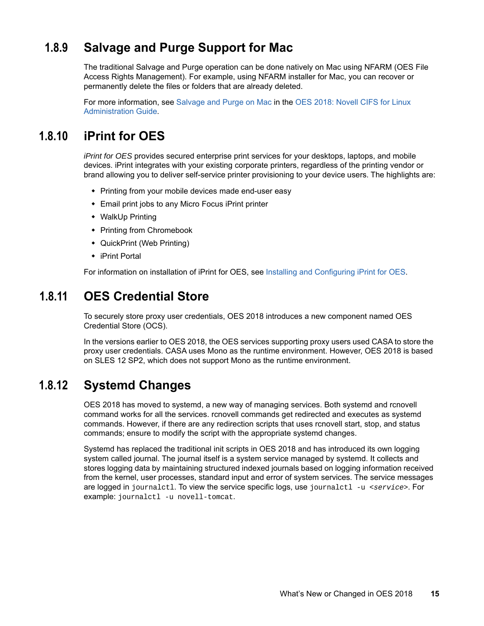## <span id="page-14-0"></span>**1.8.9 Salvage and Purge Support for Mac**

The traditional Salvage and Purge operation can be done natively on Mac using NFARM (OES File Access Rights Management). For example, using NFARM installer for Mac, you can recover or permanently delete the files or folders that are already deleted.

For more information, see [Salvage and Purge on Mac](https://www.novell.com/documentation/open-enterprise-server-2018/pdfdoc/file_cifs_lx/file_cifs_lx.pdf#t46ajspfgokj) in the [OES 2018: Novell CIFS for Linux](https://www.novell.com/documentation/open-enterprise-server-2018/pdfdoc/file_cifs_lx/file_cifs_lx.pdf#Front)  [Administration Guide.](https://www.novell.com/documentation/open-enterprise-server-2018/pdfdoc/file_cifs_lx/file_cifs_lx.pdf#Front)

### <span id="page-14-1"></span>**1.8.10 iPrint for OES**

*iPrint for OES* provides secured enterprise print services for your desktops, laptops, and mobile devices. iPrint integrates with your existing corporate printers, regardless of the printing vendor or brand allowing you to deliver self-service printer provisioning to your device users. The highlights are:

- Printing from your mobile devices made end-user easy
- Email print jobs to any Micro Focus iPrint printer
- WalkUp Printing
- Printing from Chromebook
- QuickPrint (Web Printing)
- iPrint Portal

For information on installation of iPrint for OES, see [Installing and Configuring iPrint for OES](https://www.novell.com/documentation/open-enterprise-server-2018/iprint_for_oes/data/install_configure.html).

### <span id="page-14-2"></span>**1.8.11 OES Credential Store**

To securely store proxy user credentials, OES 2018 introduces a new component named OES Credential Store (OCS).

In the versions earlier to OES 2018, the OES services supporting proxy users used CASA to store the proxy user credentials. CASA uses Mono as the runtime environment. However, OES 2018 is based on SLES 12 SP2, which does not support Mono as the runtime environment.

### <span id="page-14-3"></span>**1.8.12 Systemd Changes**

OES 2018 has moved to systemd, a new way of managing services. Both systemd and rcnovell command works for all the services. rcnovell commands get redirected and executes as systemd commands. However, if there are any redirection scripts that uses rcnovell start, stop, and status commands; ensure to modify the script with the appropriate systemd changes.

Systemd has replaced the traditional init scripts in OES 2018 and has introduced its own logging system called journal. The journal itself is a system service managed by systemd. It collects and stores logging data by maintaining structured indexed journals based on logging information received from the kernel, user processes, standard input and error of system services. The service messages are logged in journalctl. To view the service specific logs, use journalctl -u <*service*>. For example: journalctl -u novell-tomcat.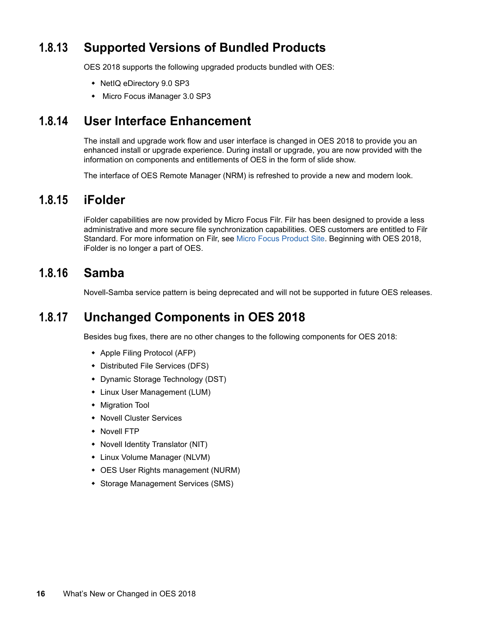## <span id="page-15-0"></span>**1.8.13 Supported Versions of Bundled Products**

OES 2018 supports the following upgraded products bundled with OES:

- NetIQ eDirectory 9.0 SP3
- Micro Focus iManager 3.0 SP3

### <span id="page-15-1"></span>**1.8.14 User Interface Enhancement**

The install and upgrade work flow and user interface is changed in OES 2018 to provide you an enhanced install or upgrade experience. During install or upgrade, you are now provided with the information on components and entitlements of OES in the form of slide show.

The interface of OES Remote Manager (NRM) is refreshed to provide a new and modern look.

### <span id="page-15-2"></span>**1.8.15 iFolder**

iFolder capabilities are now provided by Micro Focus Filr. Filr has been designed to provide a less administrative and more secure file synchronization capabilities. OES customers are entitled to Filr Standard. For more information on Filr, see [Micro Focus Product Site.](https://www.microfocus.com/products/filr/) Beginning with OES 2018, iFolder is no longer a part of OES.

### <span id="page-15-3"></span>**1.8.16 Samba**

Novell-Samba service pattern is being deprecated and will not be supported in future OES releases.

### <span id="page-15-4"></span>**1.8.17 Unchanged Components in OES 2018**

Besides bug fixes, there are no other changes to the following components for OES 2018:

- Apple Filing Protocol (AFP)
- Distributed File Services (DFS)
- Dynamic Storage Technology (DST)
- Linux User Management (LUM)
- Migration Tool
- Novell Cluster Services
- Novell FTP
- Novell Identity Translator (NIT)
- Linux Volume Manager (NLVM)
- OES User Rights management (NURM)
- Storage Management Services (SMS)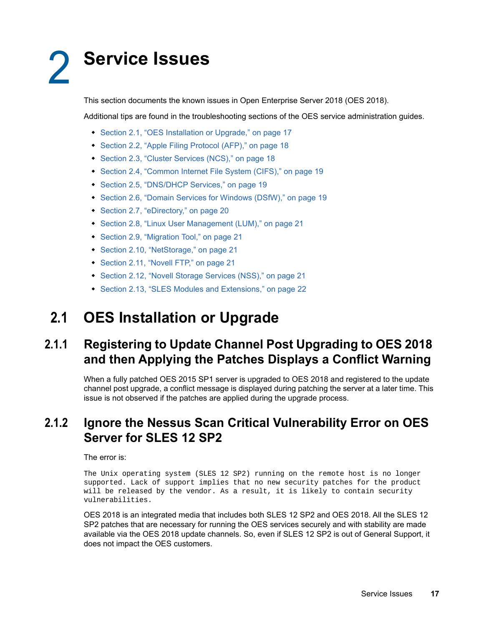# <span id="page-16-4"></span><span id="page-16-0"></span><sup>2</sup>**Service Issues**

This section documents the known issues in Open Enterprise Server 2018 (OES 2018).

Additional tips are found in the troubleshooting sections of the OES service administration guides.

- [Section 2.1, "OES Installation or Upgrade," on page 17](#page-16-1)
- [Section 2.2, "Apple Filing Protocol \(AFP\)," on page 18](#page-17-1)
- [Section 2.3, "Cluster Services \(NCS\)," on page 18](#page-17-3)
- [Section 2.4, "Common Internet File System \(CIFS\)," on page 19](#page-18-0)
- [Section 2.5, "DNS/DHCP Services," on page 19](#page-18-2)
- [Section 2.6, "Domain Services for Windows \(DSfW\)," on page 19](#page-18-4)
- [Section 2.7, "eDirectory," on page 20](#page-19-2)
- [Section 2.8, "Linux User Management \(LUM\)," on page 21](#page-20-0)
- [Section 2.9, "Migration Tool," on page 21](#page-20-2)
- [Section 2.10, "NetStorage," on page 21](#page-20-4)
- [Section 2.11, "Novell FTP," on page 21](#page-20-6)
- [Section 2.12, "Novell Storage Services \(NSS\)," on page 21](#page-20-8)
- [Section 2.13, "SLES Modules and Extensions," on page 22](#page-21-2)

# <span id="page-16-1"></span>**2.1 OES Installation or Upgrade**

## <span id="page-16-2"></span>**2.1.1 Registering to Update Channel Post Upgrading to OES 2018 and then Applying the Patches Displays a Conflict Warning**

When a fully patched OES 2015 SP1 server is upgraded to OES 2018 and registered to the update channel post upgrade, a conflict message is displayed during patching the server at a later time. This issue is not observed if the patches are applied during the upgrade process.

## <span id="page-16-3"></span>**2.1.2 Ignore the Nessus Scan Critical Vulnerability Error on OES Server for SLES 12 SP2**

#### The error is:

The Unix operating system (SLES 12 SP2) running on the remote host is no longer supported. Lack of support implies that no new security patches for the product will be released by the vendor. As a result, it is likely to contain security vulnerabilities.

OES 2018 is an integrated media that includes both SLES 12 SP2 and OES 2018. All the SLES 12 SP2 patches that are necessary for running the OES services securely and with stability are made available via the OES 2018 update channels. So, even if SLES 12 SP2 is out of General Support, it does not impact the OES customers.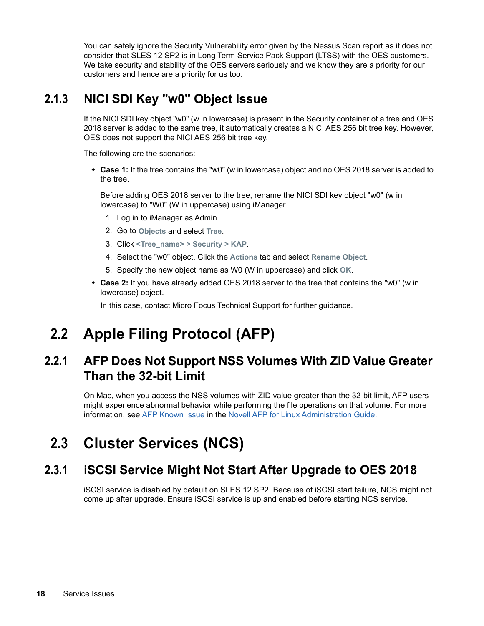You can safely ignore the Security Vulnerability error given by the Nessus Scan report as it does not consider that SLES 12 SP2 is in Long Term Service Pack Support (LTSS) with the OES customers. We take security and stability of the OES servers seriously and we know they are a priority for our customers and hence are a priority for us too.

## <span id="page-17-0"></span>**2.1.3 NICI SDI Key "w0" Object Issue**

If the NICI SDI key object "w0" (w in lowercase) is present in the Security container of a tree and OES 2018 server is added to the same tree, it automatically creates a NICI AES 256 bit tree key. However, OES does not support the NICI AES 256 bit tree key.

The following are the scenarios:

 **Case 1:** If the tree contains the "w0" (w in lowercase) object and no OES 2018 server is added to the tree.

Before adding OES 2018 server to the tree, rename the NICI SDI key object "w0" (w in lowercase) to "W0" (W in uppercase) using iManager.

- 1. Log in to iManager as Admin.
- 2. Go to **Objects** and select **Tree**.
- 3. Click **<Tree\_name> > Security > KAP**.
- 4. Select the "w0" object. Click the **Actions** tab and select **Rename Object**.
- 5. Specify the new object name as W0 (W in uppercase) and click **OK**.
- **Case 2:** If you have already added OES 2018 server to the tree that contains the "w0" (w in lowercase) object.

In this case, contact Micro Focus Technical Support for further guidance.

# <span id="page-17-1"></span>**2.2 Apple Filing Protocol (AFP)**

## <span id="page-17-2"></span>**2.2.1 AFP Does Not Support NSS Volumes With ZID Value Greater Than the 32-bit Limit**

On Mac, when you access the NSS volumes with ZID value greater than the 32-bit limit, AFP users might experience abnormal behavior while performing the file operations on that volume. For more information, see [AFP Known Issue](https://www.novell.com/documentation/open-enterprise-server-2018/file_afp_lx/data/b16r9aq6.html#t43zk92896y4) in the [Novell AFP for Linux Administration Guide](https://www.novell.com/documentation/open-enterprise-server-2018/file_afp_lx/data/h9izvdye.html#h9izvdye).

# <span id="page-17-3"></span>**2.3 Cluster Services (NCS)**

## <span id="page-17-4"></span>**2.3.1 iSCSI Service Might Not Start After Upgrade to OES 2018**

iSCSI service is disabled by default on SLES 12 SP2. Because of iSCSI start failure, NCS might not come up after upgrade. Ensure iSCSI service is up and enabled before starting NCS service.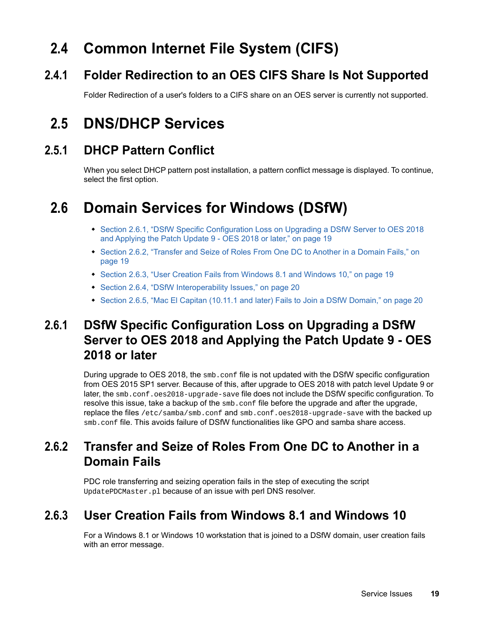# <span id="page-18-0"></span>**2.4 Common Internet File System (CIFS)**

## <span id="page-18-1"></span>**2.4.1 Folder Redirection to an OES CIFS Share Is Not Supported**

Folder Redirection of a user's folders to a CIFS share on an OES server is currently not supported.

# <span id="page-18-2"></span>**2.5 DNS/DHCP Services**

## <span id="page-18-3"></span>**2.5.1 DHCP Pattern Conflict**

When you select DHCP pattern post installation, a pattern conflict message is displayed. To continue, select the first option.

# <span id="page-18-4"></span>**2.6 Domain Services for Windows (DSfW)**

- \* Section 2.6.1, "DSfW Specific Configuration Loss on Upgrading a DSfW Server to OES 2018 [and Applying the Patch Update 9 - OES 2018 or later," on page 19](#page-18-5)
- [Section 2.6.2, "Transfer and Seize of Roles From One DC to Another in a Domain Fails," on](#page-18-6)  [page 19](#page-18-6)
- [Section 2.6.3, "User Creation Fails from Windows 8.1 and Windows 10," on page 19](#page-18-7)
- ◆ [Section 2.6.4, "DSfW Interoperability Issues," on page 20](#page-19-0)
- [Section 2.6.5, "Mac El Capitan \(10.11.1 and later\) Fails to Join a DSfW Domain," on page 20](#page-19-1)

## <span id="page-18-5"></span>**2.6.1 DSfW Specific Configuration Loss on Upgrading a DSfW Server to OES 2018 and Applying the Patch Update 9 - OES 2018 or later**

During upgrade to OES 2018, the smb.conf file is not updated with the DSfW specific configuration from OES 2015 SP1 server. Because of this, after upgrade to OES 2018 with patch level Update 9 or later, the smb.conf.oes2018-upgrade-save file does not include the DSfW specific configuration. To resolve this issue, take a backup of the smb.conf file before the upgrade and after the upgrade, replace the files /etc/samba/smb.conf and smb.conf.oes2018-upgrade-save with the backed up smb.conf file. This avoids failure of DSfW functionalities like GPO and samba share access.

## <span id="page-18-6"></span>**2.6.2 Transfer and Seize of Roles From One DC to Another in a Domain Fails**

PDC role transferring and seizing operation fails in the step of executing the script UpdatePDCMaster.pl because of an issue with perl DNS resolver.

## <span id="page-18-7"></span>**2.6.3 User Creation Fails from Windows 8.1 and Windows 10**

For a Windows 8.1 or Windows 10 workstation that is joined to a DSfW domain, user creation fails with an error message.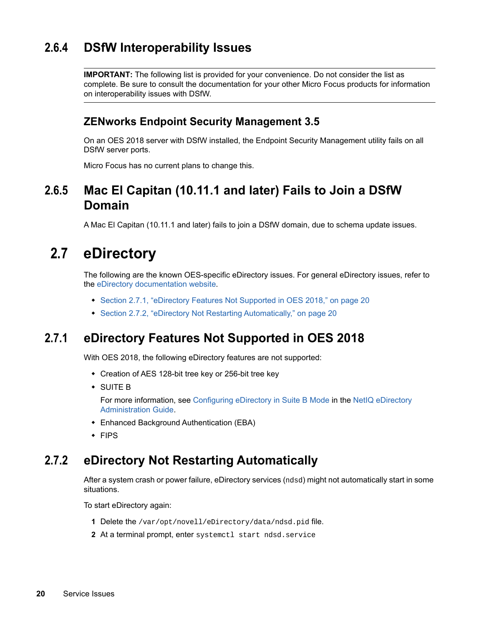## <span id="page-19-0"></span>**2.6.4 DSfW Interoperability Issues**

**IMPORTANT:** The following list is provided for your convenience. Do not consider the list as complete. Be sure to consult the documentation for your other Micro Focus products for information on interoperability issues with DSfW.

### **ZENworks Endpoint Security Management 3.5**

On an OES 2018 server with DSfW installed, the Endpoint Security Management utility fails on all DSfW server ports.

Micro Focus has no current plans to change this.

### <span id="page-19-1"></span>**2.6.5 Mac El Capitan (10.11.1 and later) Fails to Join a DSfW Domain**

A Mac El Capitan (10.11.1 and later) fails to join a DSfW domain, due to schema update issues.

## <span id="page-19-2"></span>**2.7 eDirectory**

The following are the known OES-specific eDirectory issues. For general eDirectory issues, refer to the [eDirectory documentation website](https://www.netiq.com/documentation/edirectory-9/).

- [Section 2.7.1, "eDirectory Features Not Supported in OES 2018," on page 20](#page-19-3)
- [Section 2.7.2, "eDirectory Not Restarting Automatically," on page 20](#page-19-4)

### <span id="page-19-3"></span>**2.7.1 eDirectory Features Not Supported in OES 2018**

With OES 2018, the following eDirectory features are not supported:

- Creation of AES 128-bit tree key or 256-bit tree key
- SUITE B

For more information, see [Configuring eDirectory in Suite B Mode](https://www.netiq.com/documentation/edirectory-9/pdfdoc/edir_admin/edir_admin.pdf#b1i4rmmx) in the [NetIQ eDirectory](https://www.netiq.com/documentation/edirectory-9/pdfdoc/edir_admin/edir_admin.pdf#bookinfo)  [Administration Guide.](https://www.netiq.com/documentation/edirectory-9/pdfdoc/edir_admin/edir_admin.pdf#bookinfo)

- Enhanced Background Authentication (EBA)
- FIPS

### <span id="page-19-4"></span>**2.7.2 eDirectory Not Restarting Automatically**

After a system crash or power failure, eDirectory services (ndsd) might not automatically start in some situations.

To start eDirectory again:

- **1** Delete the /var/opt/novell/eDirectory/data/ndsd.pid file.
- **2** At a terminal prompt, enter systemctl start ndsd.service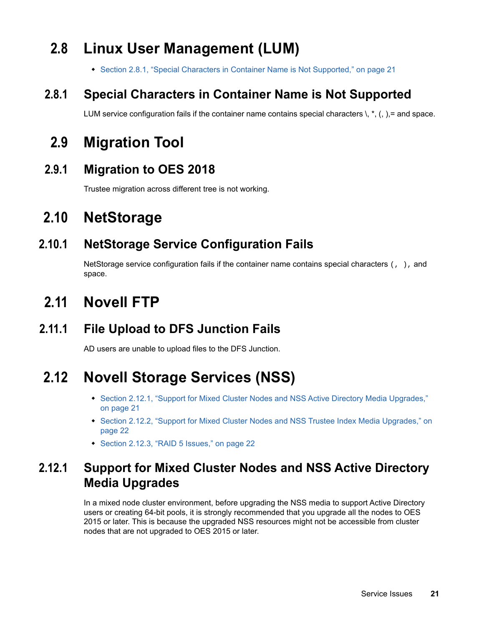# <span id="page-20-0"></span>**2.8 Linux User Management (LUM)**

[Section 2.8.1, "Special Characters in Container Name is Not Supported," on page 21](#page-20-1)

## <span id="page-20-1"></span>**2.8.1 Special Characters in Container Name is Not Supported**

LUM service configuration fails if the container name contains special characters  $\lambda$ ,  $\star$ ,  $\lambda$ ,  $\lambda$ , = and space.

# <span id="page-20-2"></span>**2.9 Migration Tool**

### <span id="page-20-3"></span>**2.9.1 Migration to OES 2018**

Trustee migration across different tree is not working.

# <span id="page-20-4"></span>**2.10 NetStorage**

## <span id="page-20-5"></span>**2.10.1 NetStorage Service Configuration Fails**

NetStorage service configuration fails if the container name contains special characters  $\langle , \rangle$ , and space.

# <span id="page-20-6"></span>**2.11 Novell FTP**

# <span id="page-20-7"></span>**2.11.1 File Upload to DFS Junction Fails**

AD users are unable to upload files to the DFS Junction.

# <span id="page-20-8"></span>**2.12 Novell Storage Services (NSS)**

- Section 2.12.1, "Support for Mixed Cluster Nodes and NSS Active Directory Media Upgrades," [on page 21](#page-20-9)
- **Section 2.12.2, "Support for Mixed Cluster Nodes and NSS Trustee Index Media Upgrades," on** [page 22](#page-21-0)
- [Section 2.12.3, "RAID 5 Issues," on page 22](#page-21-1)

## <span id="page-20-9"></span>**2.12.1 Support for Mixed Cluster Nodes and NSS Active Directory Media Upgrades**

In a mixed node cluster environment, before upgrading the NSS media to support Active Directory users or creating 64-bit pools, it is strongly recommended that you upgrade all the nodes to OES 2015 or later. This is because the upgraded NSS resources might not be accessible from cluster nodes that are not upgraded to OES 2015 or later.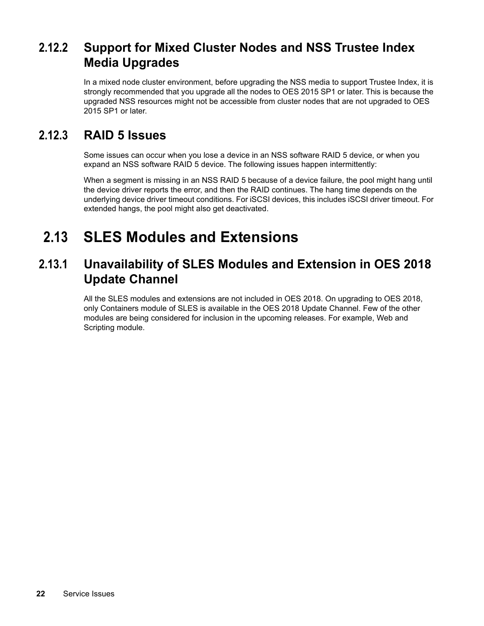## <span id="page-21-0"></span>**2.12.2 Support for Mixed Cluster Nodes and NSS Trustee Index Media Upgrades**

In a mixed node cluster environment, before upgrading the NSS media to support Trustee Index, it is strongly recommended that you upgrade all the nodes to OES 2015 SP1 or later. This is because the upgraded NSS resources might not be accessible from cluster nodes that are not upgraded to OES 2015 SP1 or later.

### <span id="page-21-1"></span>**2.12.3 RAID 5 Issues**

Some issues can occur when you lose a device in an NSS software RAID 5 device, or when you expand an NSS software RAID 5 device. The following issues happen intermittently:

When a segment is missing in an NSS RAID 5 because of a device failure, the pool might hang until the device driver reports the error, and then the RAID continues. The hang time depends on the underlying device driver timeout conditions. For iSCSI devices, this includes iSCSI driver timeout. For extended hangs, the pool might also get deactivated.

# <span id="page-21-2"></span>**2.13 SLES Modules and Extensions**

### <span id="page-21-3"></span>**2.13.1 Unavailability of SLES Modules and Extension in OES 2018 Update Channel**

All the SLES modules and extensions are not included in OES 2018. On upgrading to OES 2018, only Containers module of SLES is available in the OES 2018 Update Channel. Few of the other modules are being considered for inclusion in the upcoming releases. For example, Web and Scripting module.